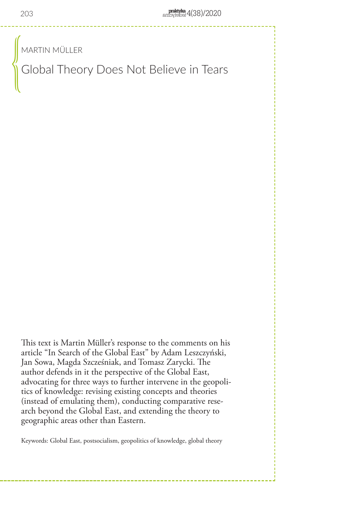MARTIN MÜLLER

Global Theory Does Not Believe in Tears  $\begin{pmatrix} 0 & 0 & 0 \ 0 & 0 & 0 \end{pmatrix}$ 

This text is Martin Müller's response to the comments on his article "In Search of the Global East" by Adam Leszczyński, Jan Sowa, Magda Szcześniak, and Tomasz Zarycki. The author defends in it the perspective of the Global East, advocating for three ways to further intervene in the geopolitics of knowledge: revising existing concepts and theories (instead of emulating them), conducting comparative research beyond the Global East, and extending the theory to geographic areas other than Eastern.

Keywords: Global East, postsocialism, geopolitics of knowledge, global theory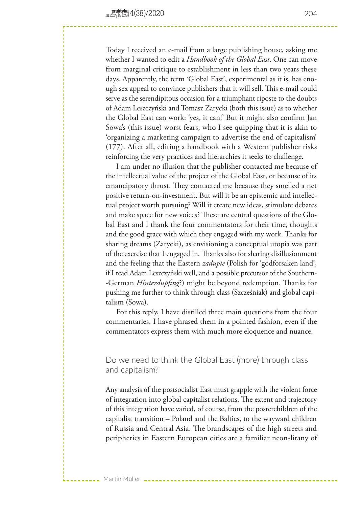Today I received an e-mail from a large publishing house, asking me whether I wanted to edit a *Handbook of the Global East*. One can move from marginal critique to establishment in less than two years these days. Apparently, the term 'Global East', experimental as it is, has enough sex appeal to convince publishers that it will sell. This e-mail could serve as the serendipitous occasion for a triumphant riposte to the doubts of Adam Leszczyński and Tomasz Zarycki (both this issue) as to whether the Global East can work: 'yes, it can!' But it might also confirm Jan Sowa's (this issue) worst fears, who I see quipping that it is akin to 'organizing a marketing campaign to advertise the end of capitalism' (177). After all, editing a handbook with a Western publisher risks reinforcing the very practices and hierarchies it seeks to challenge.

I am under no illusion that the publisher contacted me because of the intellectual value of the project of the Global East, or because of its emancipatory thrust. They contacted me because they smelled a net positive return-on-investment. But will it be an epistemic and intellectual project worth pursuing? Will it create new ideas, stimulate debates and make space for new voices? These are central questions of the Global East and I thank the four commentators for their time, thoughts and the good grace with which they engaged with my work. Thanks for sharing dreams (Zarycki), as envisioning a conceptual utopia was part of the exercise that I engaged in. Thanks also for sharing disillusionment and the feeling that the Eastern *zadupie* (Polish for 'godforsaken land', if I read Adam Leszczyński well, and a possible precursor of the Southern- -German *Hinterdupfing*?) might be beyond redemption. Thanks for pushing me further to think through class (Szcześniak) and global capitalism (Sowa).

For this reply, I have distilled three main questions from the four commentaries. I have phrased them in a pointed fashion, even if the commentators express them with much more eloquence and nuance.

Do we need to think the Global East (more) through class and capitalism?

Any analysis of the postsocialist East must grapple with the violent force of integration into global capitalist relations. The extent and trajectory of this integration have varied, of course, from the posterchildren of the capitalist transition – Poland and the Baltics, to the wayward children of Russia and Central Asia. The brandscapes of the high streets and peripheries in Eastern European cities are a familiar neon-litany of

Martin Müller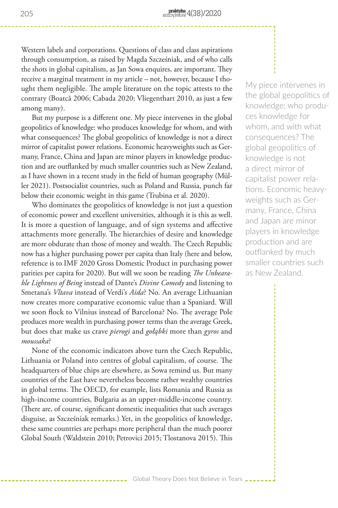Western labels and corporations. Questions of class and class aspirations through consumption, as raised by Magda Szcześniak, and of who calls the shots in global capitalism, as Jan Sowa enquires, are important. They receive a marginal treatment in my article – not, however, because I thought them negligible. The ample literature on the topic attests to the contrary (Boatcă 2006; Cabada 2020; Vliegenthart 2010, as just a few among many).

But my purpose is a different one. My piece intervenes in the global geopolitics of knowledge: who produces knowledge for whom, and with what consequences? The global geopolitics of knowledge is not a direct mirror of capitalist power relations. Economic heavyweights such as Germany, France, China and Japan are minor players in knowledge production and are outflanked by much smaller countries such as New Zealand, as I have shown in a recent study in the field of human geography (Müller 2021). Postsocialist countries, such as Poland and Russia, punch far below their economic weight in this game (Trubina et al. 2020).

Who dominates the geopolitics of knowledge is not just a question of economic power and excellent universities, although it is this as well. It is more a question of language, and of sign systems and affective attachments more generally. The hierarchies of desire and knowledge are more obdurate than those of money and wealth. The Czech Republic now has a higher purchasing power per capita than Italy (here and below, reference is to IMF 2020 Gross Domestic Product in purchasing power parities per capita for 2020). But will we soon be reading *The Unbearable Lightness of Being* instead of Dante's *Divine Comedy* and listening to Smetana's *Vltava* instead of Verdi's *Aida*? No. An average Lithuanian now creates more comparative economic value than a Spaniard. Will we soon flock to Vilnius instead of Barcelona? No. The average Pole produces more wealth in purchasing power terms than the average Greek, but does that make us crave *pierogi* and *gołąbki* more than *gyros* and *moussaka*?

None of the economic indicators above turn the Czech Republic, Lithuania or Poland into centres of global capitalism, of course. The headquarters of blue chips are elsewhere, as Sowa remind us. But many countries of the East have nevertheless become rather wealthy countries in global terms. The OECD, for example, lists Romania and Russia as high-income countries, Bulgaria as an upper-middle-income country. (There are, of course, significant domestic inequalities that such averages disguise, as Szcześniak remarks.) Yet, in the geopolitics of knowledge, these same countries are perhaps more peripheral than the much poorer Global South (Waldstein 2010; Petrovici 2015; Tlostanova 2015). This

My piece intervenes in the global geopolitics of knowledge: who produces knowledge for whom, and with what consequences? The global geopolitics of knowledge is not a direct mirror of capitalist power relations. Economic heavyweights such as Germany, France, China and Japan are minor players in knowledge production and are outflanked by much smaller countries such as New Zealand.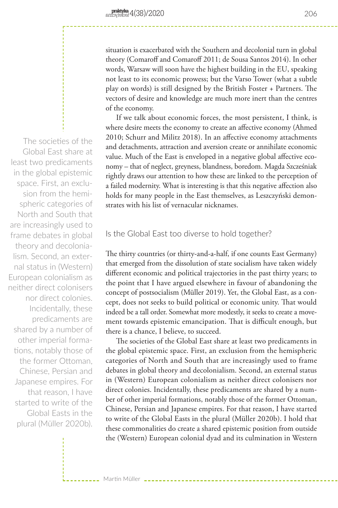- Martin Müller ---

situation is exacerbated with the Southern and decolonial turn in global theory (Comaroff and Comaroff 2011; de Sousa Santos 2014). In other words, Warsaw will soon have the highest building in the EU, speaking not least to its economic prowess; but the Varso Tower (what a subtle play on words) is still designed by the British Foster + Partners. The vectors of desire and knowledge are much more inert than the centres of the economy.

If we talk about economic forces, the most persistent, I think, is where desire meets the economy to create an affective economy (Ahmed 2010; Schurr and Militz 2018). In an affective economy attachments and detachments, attraction and aversion create or annihilate economic value. Much of the East is enveloped in a negative global affective economy – that of neglect, greyness, blandness, boredom. Magda Szcześniak rightly draws our attention to how these are linked to the perception of a failed modernity. What is interesting is that this negative affection also holds for many people in the East themselves, as Leszczyński demonstrates with his list of vernacular nicknames.

# Is the Global East too diverse to hold together?

The thirty countries (or thirty-and-a-half, if one counts East Germany) that emerged from the dissolution of state socialism have taken widely different economic and political trajectories in the past thirty years; to the point that I have argued elsewhere in favour of abandoning the concept of postsocialism (Müller 2019). Yet, the Global East, as a concept, does not seeks to build political or economic unity. That would indeed be a tall order. Somewhat more modestly, it seeks to create a movement towards epistemic emancipation. That is difficult enough, but there is a chance, I believe, to succeed.

The societies of the Global East share at least two predicaments in the global epistemic space. First, an exclusion from the hemispheric categories of North and South that are increasingly used to frame debates in global theory and decolonialism. Second, an external status in (Western) European colonialism as neither direct colonisers nor direct colonies. Incidentally, these predicaments are shared by a number of other imperial formations, notably those of the former Ottoman, Chinese, Persian and Japanese empires. For that reason, I have started to write of the Global Easts in the plural (Müller 2020b). I hold that these commonalities do create a shared epistemic position from outside the (Western) European colonial dyad and its culmination in Western

The societies of the Global East share at least two predicaments in the global epistemic space. First, an exclusion from the hemispheric categories of North and South that are increasingly used to frame debates in global theory and decolonialism. Second, an external status in (Western) European colonialism as neither direct colonisers nor direct colonies. Incidentally, these predicaments are shared by a number of other imperial formations, notably those of the former Ottoman Chinese, Persian and Japanese empires. For that reason, I have started to write of the Global Easts in the plural (Müller 2020b).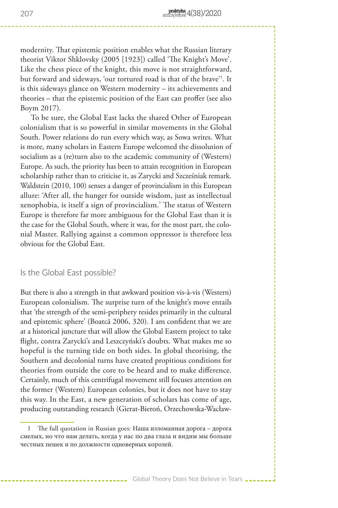modernity. That epistemic position enables what the Russian literary theorist Viktor Shklovsky (2005 [1923]) called 'The Knight's Move'. Like the chess piece of the knight, this move is not straightforward, but forward and sideways, 'our tortured road is that of the brave'1 . It is this sideways glance on Western modernity – its achievements and theories – that the epistemic position of the East can proffer (see also Boym 2017).

To be sure, the Global East lacks the shared Other of European colonialism that is so powerful in similar movements in the Global South. Power relations do run every which way, as Sowa writes. What is more, many scholars in Eastern Europe welcomed the dissolution of socialism as a (re)turn also to the academic community of (Western) Europe. As such, the priority has been to attain recognition in European scholarship rather than to criticise it, as Zarycki and Szcześniak remark. Waldstein (2010, 100) senses a danger of provincialism in this European allure: 'After all, the hunger for outside wisdom, just as intellectual xenophobia, is itself a sign of provincialism.' The status of Western Europe is therefore far more ambiguous for the Global East than it is the case for the Global South, where it was, for the most part, the colonial Master. Rallying against a common oppressor is therefore less obvious for the Global East.

#### Is the Global East possible?

But there is also a strength in that awkward position vis-à-vis (Western) European colonialism. The surprise turn of the knight's move entails that 'the strength of the semi-periphery resides primarily in the cultural and epistemic sphere' (Boatcă 2006, 320). I am confident that we are at a historical juncture that will allow the Global Eastern project to take flight, contra Zarycki's and Leszczyński's doubts. What makes me so hopeful is the turning tide on both sides. In global theorising, the Southern and decolonial turns have created propitious conditions for theories from outside the core to be heard and to make difference. Certainly, much of this centrifugal movement still focuses attention on the former (Western) European colonies, but it does not have to stay this way. In the East, a new generation of scholars has come of age, producing outstanding research (Gierat-Bieroń, Orzechowska-Wacław-

<sup>1</sup> The full quotation in Russian goes: Наша изломанная дорога – дорога смелых, но что нам делать, когда у нас по два глаза и видим мы больше честных пешек и по должности одноверных королей.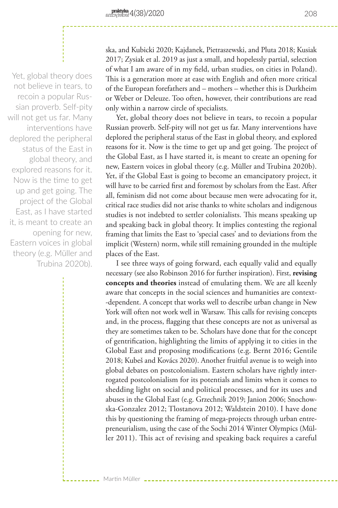Martin Müller

Yet, global theory does not believe in tears, to recoin a popular Russian proverb. Self-pity will not get us far. Many interventions have deplored the peripheral status of the East in global theory, and explored reasons for it. Now is the time to get up and get going. The project of the Global East, as I have started it, is meant to create an opening for new, Eastern voices in global theory (e.g. Müller and Trubina 2020b).

ska, and Kubicki 2020; Kajdanek, Pietraszewski, and Pluta 2018; Kusiak 2017; Zysiak et al. 2019 as just a small, and hopelessly partial, selection of what I am aware of in my field, urban studies, on cities in Poland). This is a generation more at ease with English and often more critical of the European forefathers and – mothers – whether this is Durkheim or Weber or Deleuze. Too often, however, their contributions are read only within a narrow circle of specialists.

Yet, global theory does not believe in tears, to recoin a popular Russian proverb. Self-pity will not get us far. Many interventions have deplored the peripheral status of the East in global theory, and explored reasons for it. Now is the time to get up and get going. The project of the Global East, as I have started it, is meant to create an opening for new, Eastern voices in global theory (e.g. Müller and Trubina 2020b). Yet, if the Global East is going to become an emancipatory project, it will have to be carried first and foremost by scholars from the East. After all, feminism did not come about because men were advocating for it, critical race studies did not arise thanks to white scholars and indigenous studies is not indebted to settler colonialists. This means speaking up and speaking back in global theory. It implies contesting the regional framing that limits the East to 'special cases' and to deviations from the implicit (Western) norm, while still remaining grounded in the multiple places of the East.

I see three ways of going forward, each equally valid and equally necessary (see also Robinson 2016 for further inspiration). First, **revising concepts and theories** instead of emulating them. We are all keenly aware that concepts in the social sciences and humanities are context- -dependent. A concept that works well to describe urban change in New York will often not work well in Warsaw. This calls for revising concepts and, in the process, flagging that these concepts are not as universal as they are sometimes taken to be. Scholars have done that for the concept of gentrification, highlighting the limits of applying it to cities in the Global East and proposing modifications (e.g. Bernt 2016; Gentile 2018; Kubeš and Kovács 2020). Another fruitful avenue is to weigh into global debates on postcolonialism. Eastern scholars have rightly interrogated postcolonialism for its potentials and limits when it comes to shedding light on social and political processes, and for its uses and abuses in the Global East (e.g. Grzechnik 2019; Janion 2006; Snochowska-Gonzalez 2012; Tlostanova 2012; Waldstein 2010). I have done this by questioning the framing of mega-projects through urban entrepreneurialism, using the case of the Sochi 2014 Winter Olympics (Müller 2011). This act of revising and speaking back requires a careful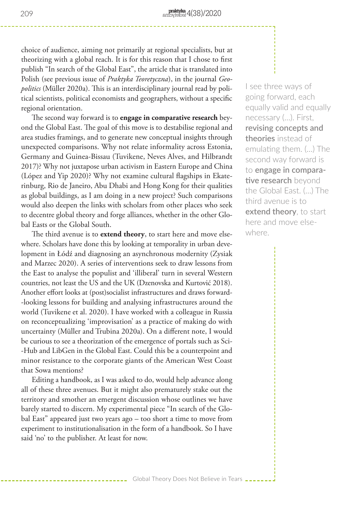choice of audience, aiming not primarily at regional specialists, but at theorizing with a global reach. It is for this reason that I chose to first publish "In search of the Global East", the article that is translated into Polish (see previous issue of *Praktyka Teoretyczna*), in the journal *Geopolitics* (Müller 2020a). This is an interdisciplinary journal read by political scientists, political economists and geographers, without a specific regional orientation.

The second way forward is to **engage in comparative research** beyond the Global East. The goal of this move is to destabilise regional and area studies framings, and to generate new conceptual insights through unexpected comparisons. Why not relate informality across Estonia, Germany and Guinea-Bissau (Tuvikene, Neves Alves, and Hilbrandt 2017)? Why not juxtapose urban activism in Eastern Europe and China (López and Yip 2020)? Why not examine cultural flagships in Ekaterinburg, Rio de Janeiro, Abu Dhabi and Hong Kong for their qualities as global buildings, as I am doing in a new project? Such comparisons would also deepen the links with scholars from other places who seek to decentre global theory and forge alliances, whether in the other Global Easts or the Global South.

The third avenue is to **extend theory**, to start here and move elsewhere. Scholars have done this by looking at temporality in urban development in Łódź and diagnosing an asynchronous modernity (Zysiak and Marzec 2020). A series of interventions seek to draw lessons from the East to analyse the populist and 'illiberal' turn in several Western countries, not least the US and the UK (Dzenovska and Kurtović 2018). Another effort looks at (post)socialist infrastructures and draws forward- -looking lessons for building and analysing infrastructures around the world (Tuvikene et al. 2020). I have worked with a colleague in Russia on reconceptualizing 'improvisation' as a practice of making do with uncertainty (Müller and Trubina 2020a). On a different note, I would be curious to see a theorization of the emergence of portals such as Sci- -Hub and LibGen in the Global East. Could this be a counterpoint and minor resistance to the corporate giants of the American West Coast that Sowa mentions?

Editing a handbook, as I was asked to do, would help advance along all of these three avenues. But it might also prematurely stake out the territory and smother an emergent discussion whose outlines we have barely started to discern. My experimental piece "In search of the Global East" appeared just two years ago – too short a time to move from experiment to institutionalisation in the form of a handbook. So I have said 'no' to the publisher. At least for now.

Global Theory Does Not Believe in Tears  $\overline{\phantom{a}}$ .

I see three ways of going forward, each equally valid and equally necessary (…). First, **revising concepts and theories** instead of emulating them. (…) The second way forward is to **engage in comparative research** beyond the Global East. (…) The third avenue is to **extend theory**, to start here and move elsewhere.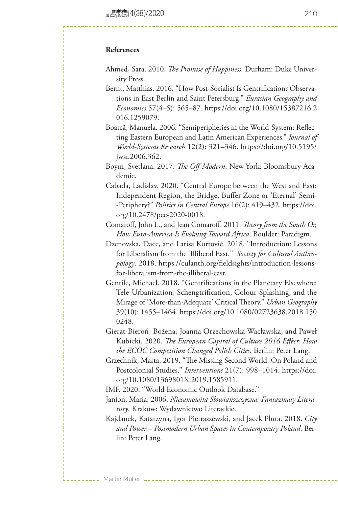### **References**

- Ahmed, Sara. 2010. *The Promise of Happiness*. Durham: Duke University Press.
- Bernt, Matthias. 2016. "How Post-Socialist Is Gentrification? Observations in East Berlin and Saint Petersburg." *Eurasian Geography and Economics* 57(4–5): 565–87. https://doi.org/10.1080/15387216.2 016.1259079.
- Boatcă, Manuela. 2006. "Semiperipheries in the World-System: Reflecting Eastern European and Latin American Experiences." *Journal of World-Systems Research* 12(2): 321–346. https://doi.org/10.5195/ jwsr.2006.362.
- Boym, Svetlana. 2017. *The Off-Modern*. New York: Bloomsbury Academic.
- Cabada, Ladislav. 2020. "Central Europe between the West and East: Independent Region, the Bridge, Buffer Zone or 'Eternal' Semi- -Periphery?" *Politics in Central Europe* 16(2): 419–432. https://doi. org/10.2478/pce-2020-0018.
- Comaroff, John L., and Jean Comaroff. 2011. *Theory from the South Or, How Euro-America Is Evolving Toward Africa*. Boulder: Paradigm.
- Dzenovska, Dace, and Larisa Kurtović. 2018. "Introduction: Lessons for Liberalism from the 'Illiberal East.'" *Society for Cultural Anthropology*. 2018. https://culanth.org/fieldsights/introduction-lessonsfor-liberalism-from-the-illiberal-east.
- Gentile, Michael. 2018. "Gentrifications in the Planetary Elsewhere: Tele-Urbanization, Schengtrification, Colour-Splashing, and the Mirage of 'More-than-Adequate' Critical Theory." *Urban Geography* 39(10): 1455–1464. https://doi.org/10.1080/02723638.2018.150 0248.
- Gierat-Bieroń, Bożena, Joanna Orzechowska-Wacławska, and Paweł Kubicki. 2020. *The European Capital of Culture 2016 Effect: How the ECOC Competition Changed Polish Cities*. Berlin: Peter Lang.
- Grzechnik, Marta. 2019. "The Missing Second World: On Poland and Postcolonial Studies." *Interventions* 21(7): 998–1014. https://doi. org/10.1080/1369801X.2019.1585911.

IMF. 2020. "World Economic Outlook Database."

Martin Müller

- Janion, Maria. 2006. *Niesamowita Słowiańszczyzna: Fantazmaty Literatury*. Kraków: Wydawnictwo Literackie.
- Kajdanek, Katarzyna, Igor Pietraszewski, and Jacek Pluta. 2018. *City and Power – Postmodern Urban Spaces in Contemporary Poland*. Berlin: Peter Lang.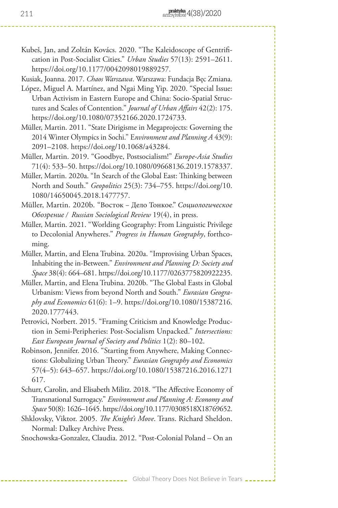- Kubeš, Jan, and Zoltán Kovács. 2020. "The Kaleidoscope of Gentrification in Post-Socialist Cities." *Urban Studies* 57(13): 2591–2611. https://doi.org/10.1177/0042098019889257.
- Kusiak, Joanna. 2017. *Chaos Warszawa*. Warszawa: Fundacja Bęc Zmiana.
- López, Miguel A. Martínez, and Ngai Ming Yip. 2020. "Special Issue: Urban Activism in Eastern Europe and China: Socio-Spatial Structures and Scales of Contention." *Journal of Urban Affairs* 42(2): 175. https://doi.org/10.1080/07352166.2020.1724733.
- Müller, Martin. 2011. "State Dirigisme in Megaprojects: Governing the 2014 Winter Olympics in Sochi." E*nvironment and Planning A* 43(9): 2091–2108. https://doi.org/10.1068/a43284.
- Müller, Martin. 2019. "Goodbye, Postsocialism!" *Europe-Asia Studies*  71(4): 533–50. https://doi.org/10.1080/09668136.2019.1578337.
- Müller, Martin. 2020a. "In Search of the Global East: Thinking between North and South." *Geopolitics* 25(3): 734–755. https://doi.org/10. 1080/14650045.2018.1477757.
- Müller, Martin. 2020b. "Восток Дело Тонкоe." *Социологическое Oбозрение / Russian Sociological Review* 19(4), in press.
- Müller, Martin. 2021. "Worlding Geography: From Linguistic Privilege to Decolonial Anywheres." *Progress in Human Geography*, forthcoming.
- Müller, Martin, and Elena Trubina. 2020a. "Improvising Urban Spaces, Inhabiting the in-Between." *Environment and Planning D: Society and Space* 38(4): 664–681. https://doi.org/10.1177/0263775820922235.
- Müller, Martin, and Elena Trubina. 2020b. "The Global Easts in Global Urbanism: Views from beyond North and South." *Eurasian Geography and Economics* 61(6): 1–9. https://doi.org/10.1080/15387216. 2020.1777443.
- Petrovici, Norbert. 2015. "Framing Criticism and Knowledge Production in Semi-Peripheries: Post-Socialism Unpacked." *Intersections: East European Journal of Society and Politics* 1(2): 80–102.
- Robinson, Jennifer. 2016. "Starting from Anywhere, Making Connections: Globalizing Urban Theory." *Eurasian Geography and Economics*  57(4–5): 643–657. https://doi.org/10.1080/15387216.2016.1271 617.
- Schurr, Carolin, and Elisabeth Militz. 2018. "The Affective Economy of Transnational Surrogacy." *Environment and Planning A: Economy and Space* 50(8): 1626–1645. https://doi.org/10.1177/0308518X18769652.
- Shklovsky, Viktor. 2005. *The Knight's Move*. Trans. Richard Sheldon. Normal: Dalkey Archive Press.

Snochowska-Gonzalez, Claudia. 2012. "Post-Colonial Poland – On an

Global Theory Does Not Believe in Tears  $\overline{\phantom{a}}$ .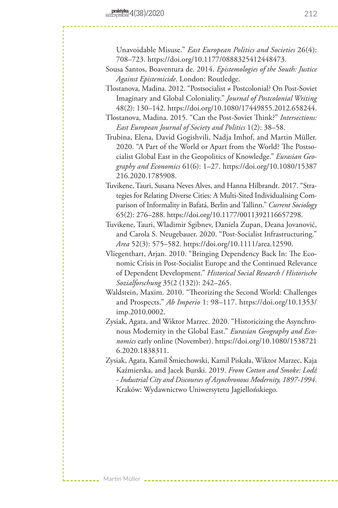Martin Müller

Unavoidable Misuse." *East European Politics and Societies* 26(4): 708–723. https://doi.org/10.1177/0888325412448473.

- Sousa Santos, Boaventura de. 2014. *Epistemologies of the South: Justice Against Epistemicide*. London: Routledge.
- Tlostanova, Madina. 2012. "Postsocialist ≠ Postcolonial? On Post-Soviet Imaginary and Global Coloniality." *Journal of Postcolonial Writing*  48(2): 130–142. https://doi.org/10.1080/17449855.2012.658244.
- Tlostanova, Madina. 2015. "Can the Post-Soviet Think?" *Intersections: East European Journal of Society and Politics* 1(2): 38–58.
- Trubina, Elena, David Gogishvili, Nadja Imhof, and Martin Müller. 2020. "A Part of the World or Apart from the World? The Postsocialist Global East in the Geopolitics of Knowledge." *Eurasian Geography and Economics* 61(6): 1–27. https://doi.org/10.1080/15387 216.2020.1785908.
- Tuvikene, Tauri, Susana Neves Alves, and Hanna Hilbrandt. 2017. "Strategies for Relating Diverse Cities: A Multi-Sited Individualising Comparison of Informality in Bafatá, Berlin and Tallinn." *Current Sociology* 65(2): 276–288. https://doi.org/10.1177/0011392116657298.
- Tuvikene, Tauri, Wladimir Sgibnev, Daniela Zupan, Deana Jovanović, and Carola S. Neugebauer. 2020. "Post-Socialist Infrastructuring." *Area* 52(3): 575–582. https://doi.org/10.1111/area.12590.
- Vliegenthart, Arjan. 2010. "Bringing Dependency Back In: The Economic Crisis in Post-Socialist Europe and the Continued Relevance of Dependent Development." *Historical Social Research / Historische Sozialforschung* 35(2 (132)): 242–265.
- Waldstein, Maxim. 2010. "Theorizing the Second World: Challenges and Prospects." *Ab Imperio* 1: 98–117. https://doi.org/10.1353/ imp.2010.0002.
- Zysiak, Agata, and Wiktor Marzec. 2020. "Historicizing the Asynchronous Modernity in the Global East." *Eurasian Geography and Economics* early online (November). https://doi.org/10.1080/1538721 6.2020.1838311.
- Zysiak, Agata, Kamil Śmiechowski, Kamil Piskała, Wiktor Marzec, Kaja Kaźmierska, and Jacek Burski. 2019. *From Cotton and Smoke: Lodź - Industrial City and Discourses of Asynchronous Modernity, 1897-1994*. Kraków: Wydawnictwo Uniwersytetu Jagiellońskiego.